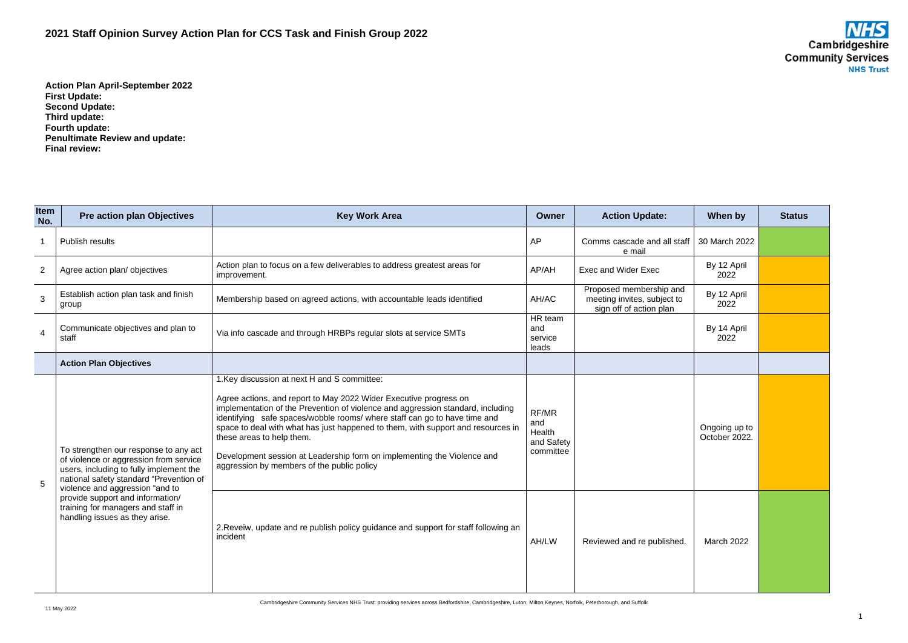## **2021 Staff Opinion Survey Action Plan for CCS Task and Finish Group 2022**



**Action Plan April-September 2022 First Update: Second Update: Third update: Fourth update: Penultimate Review and update: Final review:**

| <b>Item</b><br>No. | <b>Pre action plan Objectives</b>                                                                                                                                                                                                                                                                                    | <b>Key Work Area</b>                                                                                                                                                                                                                                                                                                                                                                                                                                                                                                        | Owner                                             | <b>Action Update:</b>                                                             | When by                        | <b>Status</b> |
|--------------------|----------------------------------------------------------------------------------------------------------------------------------------------------------------------------------------------------------------------------------------------------------------------------------------------------------------------|-----------------------------------------------------------------------------------------------------------------------------------------------------------------------------------------------------------------------------------------------------------------------------------------------------------------------------------------------------------------------------------------------------------------------------------------------------------------------------------------------------------------------------|---------------------------------------------------|-----------------------------------------------------------------------------------|--------------------------------|---------------|
|                    | Publish results                                                                                                                                                                                                                                                                                                      |                                                                                                                                                                                                                                                                                                                                                                                                                                                                                                                             | <b>AP</b>                                         | Comms cascade and all staff<br>e mail                                             | 30 March 2022                  |               |
| $\overline{2}$     | Agree action plan/objectives                                                                                                                                                                                                                                                                                         | Action plan to focus on a few deliverables to address greatest areas for<br>improvement.                                                                                                                                                                                                                                                                                                                                                                                                                                    | AP/AH                                             | <b>Exec and Wider Exec</b>                                                        | By 12 April<br>2022            |               |
| 3                  | Establish action plan task and finish<br>group                                                                                                                                                                                                                                                                       | Membership based on agreed actions, with accountable leads identified                                                                                                                                                                                                                                                                                                                                                                                                                                                       | AH/AC                                             | Proposed membership and<br>meeting invites, subject to<br>sign off of action plan | By 12 April<br>2022            |               |
| $\overline{4}$     | Communicate objectives and plan to<br>staff                                                                                                                                                                                                                                                                          | Via info cascade and through HRBPs regular slots at service SMTs                                                                                                                                                                                                                                                                                                                                                                                                                                                            | HR team<br>and<br>service<br>leads                |                                                                                   | By 14 April<br>2022            |               |
|                    | <b>Action Plan Objectives</b>                                                                                                                                                                                                                                                                                        |                                                                                                                                                                                                                                                                                                                                                                                                                                                                                                                             |                                                   |                                                                                   |                                |               |
| 5                  | To strengthen our response to any act<br>of violence or aggression from service<br>users, including to fully implement the<br>national safety standard "Prevention of<br>violence and aggression "and to<br>provide support and information/<br>training for managers and staff in<br>handling issues as they arise. | 1. Key discussion at next H and S committee:<br>Agree actions, and report to May 2022 Wider Executive progress on<br>implementation of the Prevention of violence and aggression standard, including<br>identifying safe spaces/wobble rooms/ where staff can go to have time and<br>space to deal with what has just happened to them, with support and resources in<br>these areas to help them.<br>Development session at Leadership form on implementing the Violence and<br>aggression by members of the public policy | RF/MR<br>and<br>Health<br>and Safety<br>committee |                                                                                   | Ongoing up to<br>October 2022. |               |
|                    |                                                                                                                                                                                                                                                                                                                      | 2. Reveiw, update and re publish policy guidance and support for staff following an<br>incident                                                                                                                                                                                                                                                                                                                                                                                                                             | AH/LW                                             | Reviewed and re published.                                                        | March 2022                     |               |